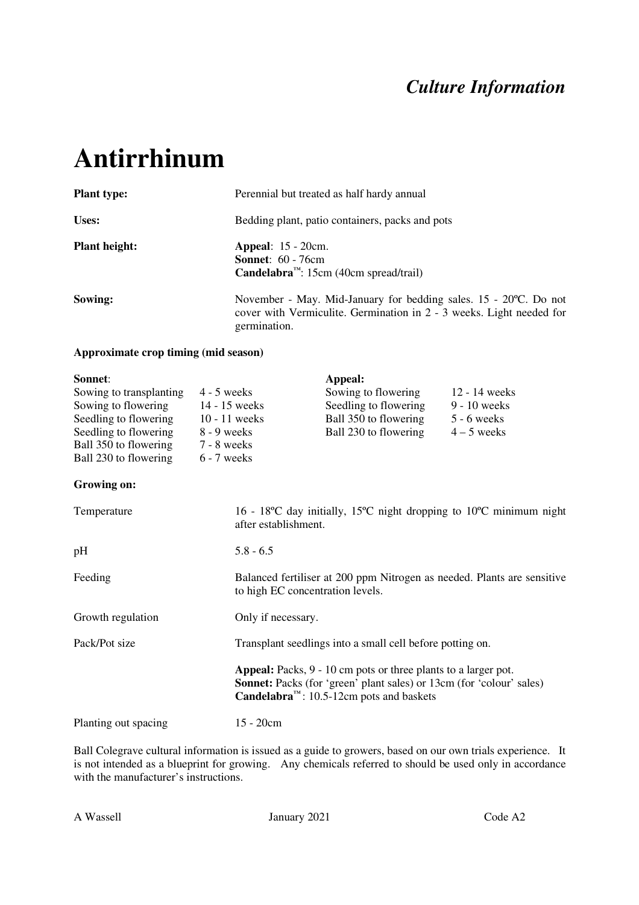### *Culture Information*

# **Antirrhinum**

| <b>Plant type:</b>   | Perennial but treated as half hardy annual                                                                                                                |
|----------------------|-----------------------------------------------------------------------------------------------------------------------------------------------------------|
| Uses:                | Bedding plant, patio containers, packs and pots                                                                                                           |
| <b>Plant height:</b> | <b>Appeal:</b> 15 - 20cm.<br><b>Sonnet:</b> 60 - 76cm<br><b>Candelabra</b> <sup><math>m</math></sup> : 15cm (40cm spread/trail)                           |
| Sowing:              | November - May. Mid-January for bedding sales. 15 - 20 °C. Do not<br>cover with Vermiculite. Germination in 2 - 3 weeks. Light needed for<br>germination. |

#### **Approximate crop timing (mid season)**

| Sonnet:                 |                 | Appeal:               |                 |
|-------------------------|-----------------|-----------------------|-----------------|
| Sowing to transplanting | $4 - 5$ weeks   | Sowing to flowering   | $12 - 14$ weeks |
| Sowing to flowering     | 14 - 15 weeks   | Seedling to flowering | $9 - 10$ weeks  |
| Seedling to flowering   | $10 - 11$ weeks | Ball 350 to flowering | $5 - 6$ weeks   |
| Seedling to flowering   | $8 - 9$ weeks   | Ball 230 to flowering | $4 - 5$ weeks   |
| Ball 350 to flowering   | $7 - 8$ weeks   |                       |                 |
| Ball 230 to flowering   | $6 - 7$ weeks   |                       |                 |

#### **Growing on:**

| Temperature          | 16 - 18 °C day initially, 15 °C night dropping to 10 °C minimum night<br>after establishment.                                                                                                                                    |
|----------------------|----------------------------------------------------------------------------------------------------------------------------------------------------------------------------------------------------------------------------------|
| pH                   | $5.8 - 6.5$                                                                                                                                                                                                                      |
| Feeding              | Balanced fertiliser at 200 ppm Nitrogen as needed. Plants are sensitive<br>to high EC concentration levels.                                                                                                                      |
| Growth regulation    | Only if necessary.                                                                                                                                                                                                               |
| Pack/Pot size        | Transplant seedlings into a small cell before potting on.                                                                                                                                                                        |
|                      | <b>Appeal:</b> Packs, 9 - 10 cm pots or three plants to a larger pot.<br><b>Sonnet:</b> Packs (for 'green' plant sales) or 13cm (for 'colour' sales)<br><b>Candelabra</b> <sup><math>m</math></sup> : 10.5-12cm pots and baskets |
| Planting out spacing | $15 - 20$ cm                                                                                                                                                                                                                     |

Ball Colegrave cultural information is issued as a guide to growers, based on our own trials experience. It is not intended as a blueprint for growing. Any chemicals referred to should be used only in accordance with the manufacturer's instructions.